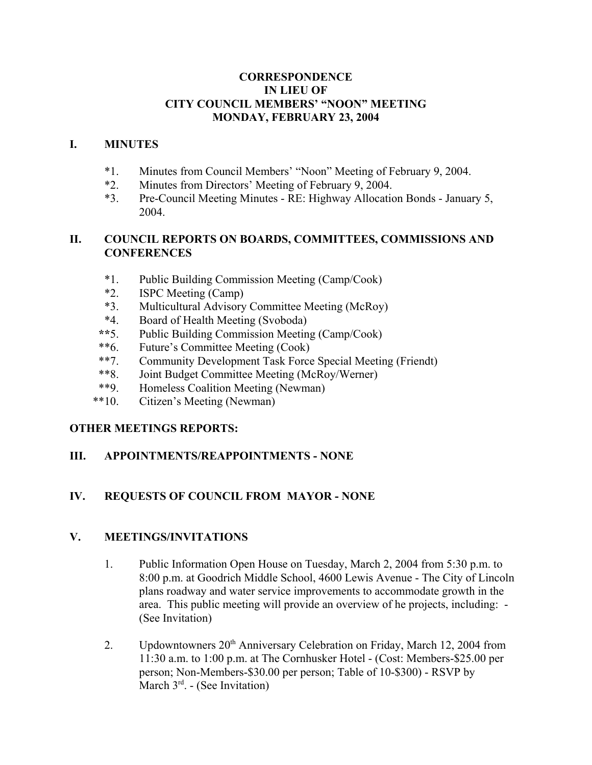#### **CORRESPONDENCE IN LIEU OF CITY COUNCIL MEMBERS' "NOON" MEETING MONDAY, FEBRUARY 23, 2004**

#### **I. MINUTES**

- \*1. Minutes from Council Members' "Noon" Meeting of February 9, 2004.
- \*2. Minutes from Directors' Meeting of February 9, 2004.
- \*3. Pre-Council Meeting Minutes RE: Highway Allocation Bonds January 5, 2004.

## **II. COUNCIL REPORTS ON BOARDS, COMMITTEES, COMMISSIONS AND CONFERENCES**

- \*1. Public Building Commission Meeting (Camp/Cook)
- \*2. ISPC Meeting (Camp)
- \*3. Multicultural Advisory Committee Meeting (McRoy)
- \*4. Board of Health Meeting (Svoboda)
- **\*\***5. Public Building Commission Meeting (Camp/Cook)
- \*\*6. Future's Committee Meeting (Cook)
- \*\*7. Community Development Task Force Special Meeting (Friendt)
- \*\*8. Joint Budget Committee Meeting (McRoy/Werner)
- \*\*9. Homeless Coalition Meeting (Newman)
- \*\*10. Citizen's Meeting (Newman)

# **OTHER MEETINGS REPORTS:**

### **III. APPOINTMENTS/REAPPOINTMENTS - NONE**

# **IV. REQUESTS OF COUNCIL FROM MAYOR - NONE**

### **V. MEETINGS/INVITATIONS**

- 1. Public Information Open House on Tuesday, March 2, 2004 from 5:30 p.m. to 8:00 p.m. at Goodrich Middle School, 4600 Lewis Avenue - The City of Lincoln plans roadway and water service improvements to accommodate growth in the area. This public meeting will provide an overview of he projects, including: - (See Invitation)
- 2. Updowntowners  $20<sup>th</sup>$  Anniversary Celebration on Friday, March 12, 2004 from 11:30 a.m. to 1:00 p.m. at The Cornhusker Hotel - (Cost: Members-\$25.00 per person; Non-Members-\$30.00 per person; Table of 10-\$300) - RSVP by March  $3<sup>rd</sup>$ . - (See Invitation)